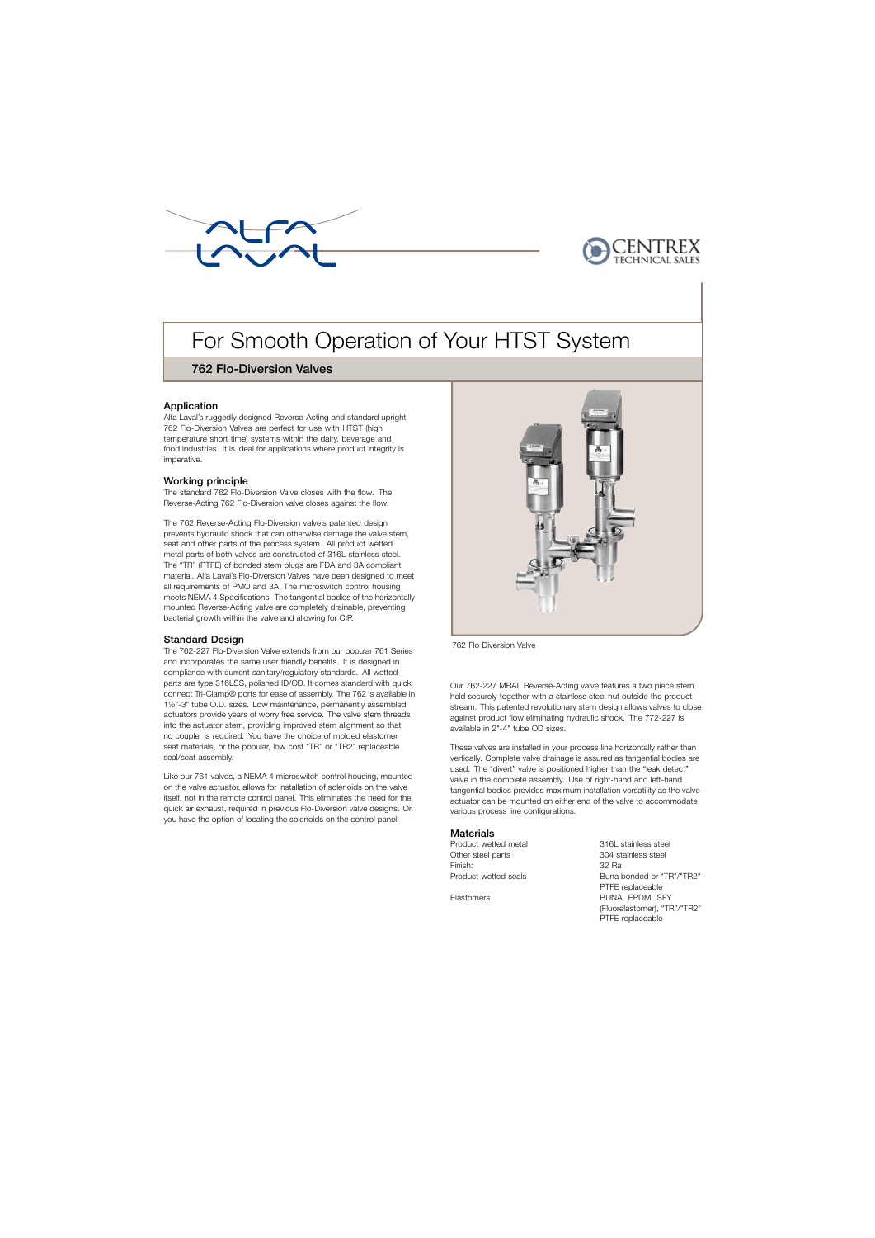



# For Smooth Operation of Your HTST System

# ky 762 Flo-Diversion Valves

# Application

Alfa Laval's ruggedly designed Reverse-Acting and standard upright 762 Flo-Diversion Valves are perfect for use with HTST (high temperature short time) systems within the dairy, beverage and food industries. It is ideal for applications where product integrity is imperative.

## Working principle

The standard 762 Flo-Diversion Valve closes with the flow. The Reverse-Acting 762 Flo-Diversion valve closes against the flow.

The 762 Reverse-Acting Flo-Diversion valve's patented design prevents hydraulic shock that can otherwise damage the valve stem, seat and other parts of the process system. All product wetted metal parts of both valves are constructed of 316L stainless steel. The "TR" (PTFE) of bonded stem plugs are FDA and 3A compliant material. Alfa Laval's Flo-Diversion Valves have been designed to meet all requirements of PMO and 3A. The microswitch control housing meets NEMA 4 Specifications. The tangential bodies of the horizontally mounted Reverse-Acting valve are completely drainable, preventing bacterial growth within the valve and allowing for CIP.

#### Standard Design

. parts are type 316LSS, polished ID/OD. It comes standard with quick The 762-227 Flo-Diversion Valve extends from our popular 761 Series and incorporates the same user friendly benefits. It is designed in compliance with current sanitary/regulatory standards. All wetted connect Tri-Clamp® ports for ease of assembly. The 762 is available in 1½"-3" tube O.D. sizes. Low maintenance, permanently assembled actuators provide years of worry free service. The valve stem threads into the actuator stem, providing improved stem alignment so that no coupler is required. You have the choice of molded elastomer seat materials, or the popular, low cost "TR" or "TR2" replaceable seal/seat assembly.

Like our 761 valves, a NEMA 4 microswitch control housing, mounted on the valve actuator, allows for installation of solenoids on the valve itself, not in the remote control panel. This eliminates the need for the quick air exhaust, required in previous Flo-Diversion valve designs. Or, you have the option of locating the solenoids on the control panel.



762 Flo Diversion Valve

Our 762-227 MRAL Reverse-Acting valve features a two piece stem held securely together with a stainless steel nut outside the product stream. This patented revolutionary stem design allows valves to close against product flow eliminating hydraulic shock. The 772-227 is available in 2"-4" tube OD sizes.

These valves are installed in your process line horizontally rather than vertically. Complete valve drainage is assured as tangential bodies are used. The "divert" valve is positioned higher than the "leak detect" valve in the complete assembly. Use of right-hand and left-hand tangential bodies provides maximum installation versatility as the valve actuator can be mounted on either end of the valve to accommodate various process line configurations.

#### **Materials**

Product wetted metal 316L stainless steel Other steel parts 304 stainless steel Finish: 32 Ra Product wetted seals Buna bonded or "TR"/"TR2"

PTFE replaceable Elastomers BUNA, EPDM, SFY (Fluorelastomer), "TR"/"TR2" PTFE replaceable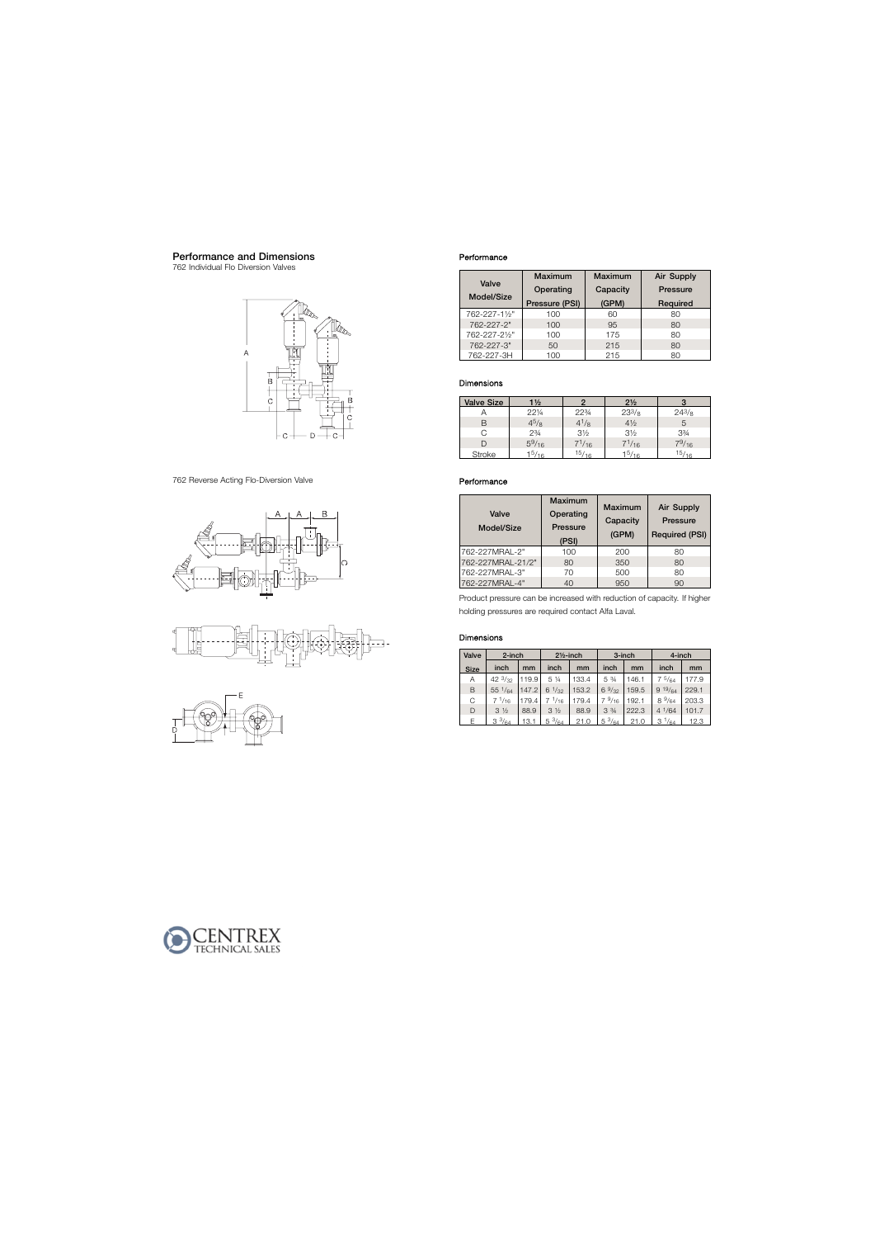# Performance and Dimensions

762 Individual Flo Diversion Valves



762 Reverse Acting Flo-Diversion Valve







#### Performance

|               | Maximum        | <b>Maximum</b> | Air Supply |  |
|---------------|----------------|----------------|------------|--|
| Valve         | Operating      | Capacity       | Pressure   |  |
| Model/Size    | Pressure (PSI) | (GPM)          | Required   |  |
| 762-227-11/2" | 100            | 60             | 80         |  |
| 762-227-2"    | 100            | 95             | 80         |  |
| 762-227-21/2" | 100            | 175            | 80         |  |
| 762-227-3"    | 50             | 215            | 80         |  |
| 762-227-3H    | 100            | 215            | 80         |  |

## Dimensions

| <b>Valve Size</b> | $1\frac{1}{2}$ |                | $2\frac{1}{2}$ |               |
|-------------------|----------------|----------------|----------------|---------------|
|                   | 221/4          | 22%            | $23^{3}/8$     | $24^{3}/8$    |
| R                 | $4^{5}/8$      | $4^{1}/8$      | $4\frac{1}{2}$ | $\mathcal{D}$ |
| G                 | $2\frac{3}{4}$ | $3\frac{1}{2}$ | $3\frac{1}{2}$ | 33/4          |
| D                 | $5^9/16$       | $7^{1/16}$     | $7^{1/16}$     | 79/16         |
| <b>Stroke</b>     | $1^{5/16}$     | 15/16          | $1^{5/16}$     | 15/16         |

## Performance

| Valve<br>Model/Size | <b>Maximum</b><br>Operating<br><b>Pressure</b><br>(PSI) | Maximum<br>Capacity<br>(GPM) | Air Supply<br><b>Pressure</b><br><b>Required (PSI)</b> |  |
|---------------------|---------------------------------------------------------|------------------------------|--------------------------------------------------------|--|
| 762-227MRAL-2"      | 100                                                     | 200                          | 80                                                     |  |
| 762-227MRAL-21/2"   | 80                                                      | 350                          | 80                                                     |  |
| 762-227MRAL-3"      | 70                                                      | 500                          | 80                                                     |  |
| 762-227MRAL-4"      | 40                                                      | 950                          | 90                                                     |  |

Product pressure can be increased with reduction of capacity. If higher holding pressures are required contact Alfa Laval.

# Dimensions

| Valve       | $2$ -inch         |       |                  | $2\frac{1}{2}$ -inch |                 | $3$ -inch | 4-inch           |       |
|-------------|-------------------|-------|------------------|----------------------|-----------------|-----------|------------------|-------|
| <b>Size</b> | inch              | mm    | inch             | mm                   | inch            | mm        | inch             | mm    |
| A           | 42 $\frac{3}{32}$ | 119.9 | 5 1/4            | 133.4                | 5 3/4           | 146.1     | $7\frac{5}{64}$  | 177.9 |
| B           | $55 \frac{1}{64}$ | 147.2 | $6\frac{1}{32}$  | 153.2                | $6\frac{9}{32}$ | 159.5     | $9^{19/64}$      | 229.1 |
| C           | $7 \frac{1}{16}$  | 179.4 | $7 \frac{1}{16}$ | 179.4                | $7\frac{9}{16}$ | 192.1     | $8\frac{9}{64}$  | 203.3 |
| D           | $3\frac{1}{2}$    | 88.9  | $3\frac{1}{2}$   | 88.9                 | $3\frac{3}{4}$  | 222.3     | $4 \frac{1}{64}$ | 101.7 |
| F.          | $3^{3}/_{64}$     | 13.1  | $5\frac{3}{64}$  | 21.0                 | $5\frac{3}{64}$ | 21.0      | $3^{1/64}$       | 12.3  |

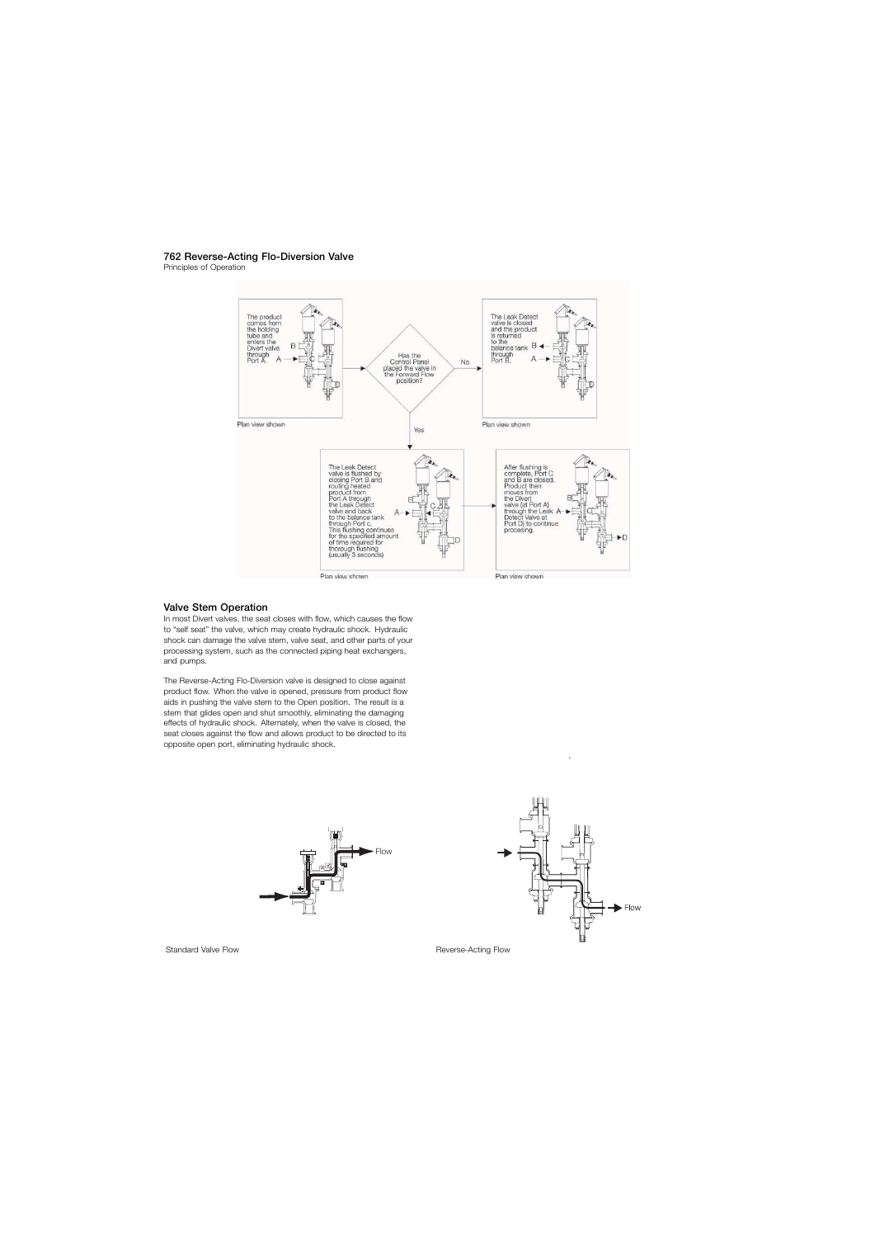#### 762 Reverse-Acting Flo-Diversion Valve

Principles of Operation



#### Valve Stem Operation

In most Divert valves, the seat closes with flow, which causes the flow to "self seat" the valve, which may create hydraulic shock. Hydraulic shock can damage the valve stem, valve seat, and other parts of your processing system, such as the connected piping heat exchangers, and pumps.

The Reverse-Acting Flo-Diversion valve is designed to close against product flow. When the valve is opened, pressure from product flow aids in pushing the valve stem to the Open position. The result is a stem that glides open and shut smoothly, eliminating the damaging effects of hydraulic shock. Alternately, when the valve is closed, the seat closes against the flow and allows product to be directed to its opposite open port, eliminating hydraulic shock.